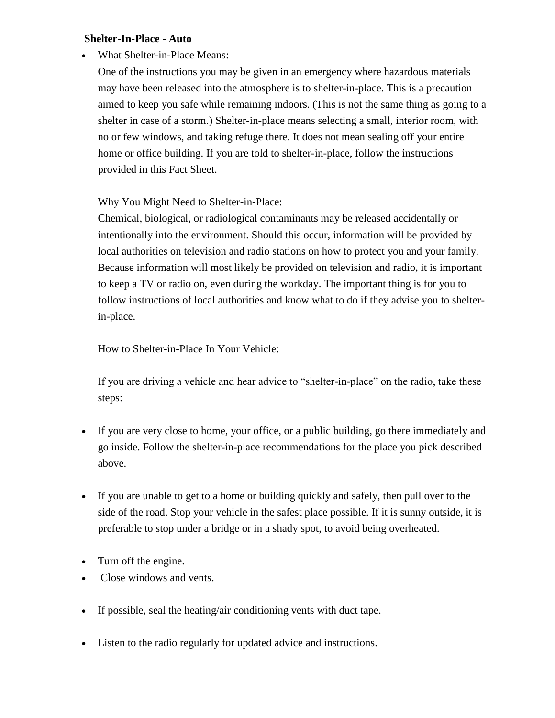## **Shelter-In-Place - Auto**

What Shelter-in-Place Means:

One of the instructions you may be given in an emergency where hazardous materials may have been released into the atmosphere is to shelter-in-place. This is a precaution aimed to keep you safe while remaining indoors. (This is not the same thing as going to a shelter in case of a storm.) Shelter-in-place means selecting a small, interior room, with no or few windows, and taking refuge there. It does not mean sealing off your entire home or office building. If you are told to shelter-in-place, follow the instructions provided in this Fact Sheet.

Why You Might Need to Shelter-in-Place:

Chemical, biological, or radiological contaminants may be released accidentally or intentionally into the environment. Should this occur, information will be provided by local authorities on television and radio stations on how to protect you and your family. Because information will most likely be provided on television and radio, it is important to keep a TV or radio on, even during the workday. The important thing is for you to follow instructions of local authorities and know what to do if they advise you to shelterin-place.

How to Shelter-in-Place In Your Vehicle:

If you are driving a vehicle and hear advice to "shelter-in-place" on the radio, take these steps:

- If you are very close to home, your office, or a public building, go there immediately and go inside. Follow the shelter-in-place recommendations for the place you pick described above.
- If you are unable to get to a home or building quickly and safely, then pull over to the side of the road. Stop your vehicle in the safest place possible. If it is sunny outside, it is preferable to stop under a bridge or in a shady spot, to avoid being overheated.
- Turn off the engine.
- Close windows and vents.
- If possible, seal the heating/air conditioning vents with duct tape.
- Listen to the radio regularly for updated advice and instructions.